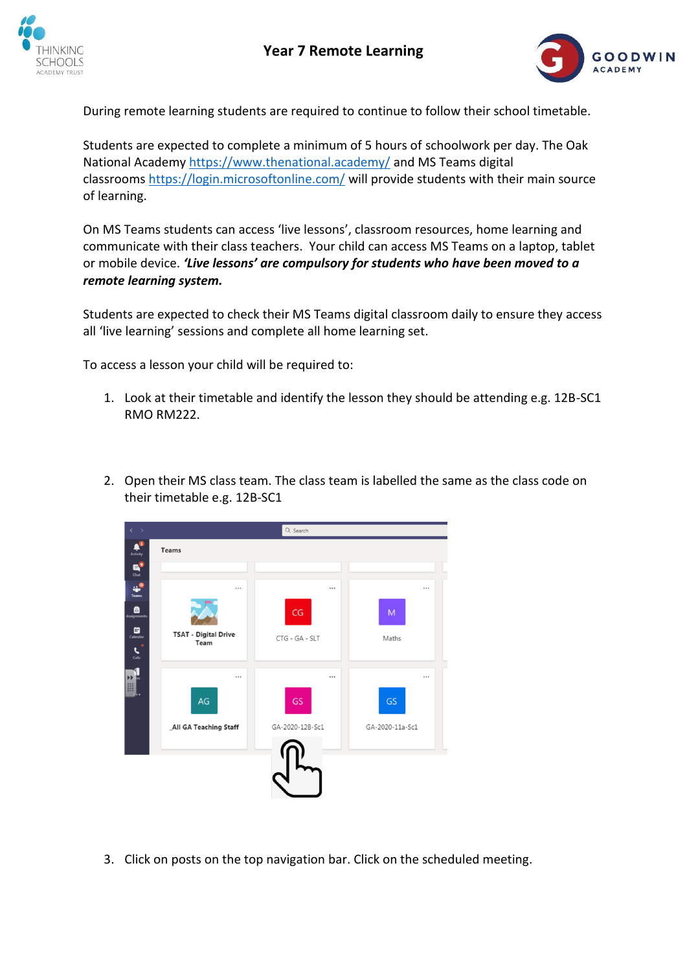



During remote learning students are required to continue to follow their school timetable.

Students are expected to complete a minimum of 5 hours of schoolwork per day. The Oak National Academy <https://www.thenational.academy/> and MS Teams digital classrooms <https://login.microsoftonline.com/> will provide students with their main source of learning.

On MS Teams students can access 'live lessons', classroom resources, home learning and communicate with their class teachers. Your child can access MS Teams on a laptop, tablet or mobile device. *'Live lessons' are compulsory for students who have been moved to a remote learning system.*

Students are expected to check their MS Teams digital classroom daily to ensure they access all 'live learning' sessions and complete all home learning set.

To access a lesson your child will be required to:

- 1. Look at their timetable and identify the lesson they should be attending e.g. 12B-SC1 RMO RM222.
- 2. Open their MS class team. The class team is labelled the same as the class code on their timetable e.g. 12B-SC1



3. Click on posts on the top navigation bar. Click on the scheduled meeting.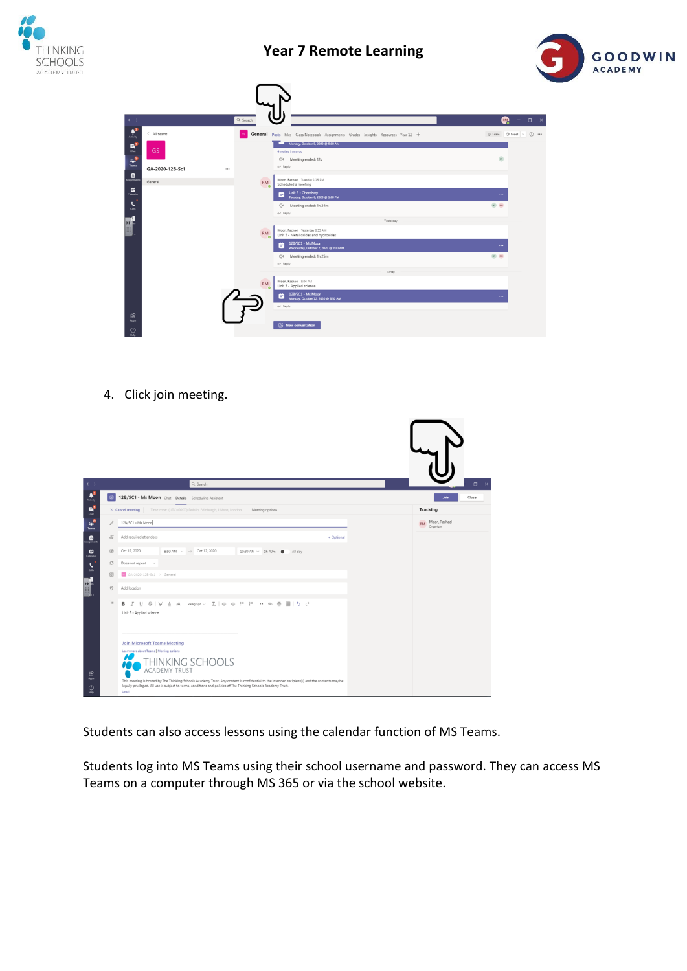

## **Year 7 Remote Learning**



| $\longleftrightarrow$                                              |                     | Q Search               |                                                                                                                                            | $\Box$ $\times$<br><b>RM</b><br>$\sim$ |
|--------------------------------------------------------------------|---------------------|------------------------|--------------------------------------------------------------------------------------------------------------------------------------------|----------------------------------------|
| $\frac{\mathbf{a}^{\mathbf{0}}}{\text{Achiv}_{\mathbf{0}}}$        | < All teams         |                        | General Posts Files Class Notebook Assignments Grades Insights Resources - Year 12 +                                                       | Team Of Meet v<br>$\odot$              |
| $\mathbf{B}_\bullet$<br>$\begin{array}{c} \frac{1}{2} \end{array}$ | <b>GS</b>           |                        | Monday, October 5, 2020 @ 9:00 AM<br>4 replies from you<br>⊕<br>Meeting ended: 12s<br>$\leftarrow$ Reply                                   | H                                      |
| . 8                                                                | GA-2020-12B-Sc1<br> | ٠                      | Moon, Rachael Tuesday 1:15 PM                                                                                                              |                                        |
| $\Box$<br>$\tilde{\mathbf{z}}$                                     | General             | <b>RM</b><br>$\bullet$ | Scheduled a meeting<br>Unit 5 - Chemistry<br>Tuesday, October 6, 2020 @ 1:00 PM<br>m.<br>⊕<br>Meeting ended: 1h 24m<br>$\leftarrow$ Reply  | $\cdots$<br>$HT$ $RM$                  |
| H                                                                  |                     |                        | Yesterday                                                                                                                                  |                                        |
|                                                                    |                     | <b>RM</b><br>ಁ         | Moon, Rachael Yesterday 8:59 AM<br>Unit 5 - Metal oxides and hydroxides<br>12B/SC1 - Ms Moon<br>12<br>Wednesday, October 7, 2020 @ 9:00 AM | $\cdots$                               |
|                                                                    |                     |                        | Ö٤<br>Meeting ended: 1h 25m<br>$\leftarrow$ Reply                                                                                          | $(nT)$ (RM)                            |
|                                                                    |                     |                        | Today                                                                                                                                      |                                        |
|                                                                    |                     | <b>RM</b><br>™o        | Moon, Rachael 9:04 PM<br>Unit 5 - Applied science<br>12B/SC1 - Ms Moon<br>m<br>Monday, October 12, 2020 @ 8:50 AM<br>$\leftarrow$ Reply    | $\cdots$                               |
| $\frac{100}{4}$<br>$\odot$<br>Help                                 |                     |                        | <b>Z</b> New conversation                                                                                                                  |                                        |

4. Click join meeting.



Students can also access lessons using the calendar function of MS Teams.

Students log into MS Teams using their school username and password. They can access MS Teams on a computer through MS 365 or via the school website.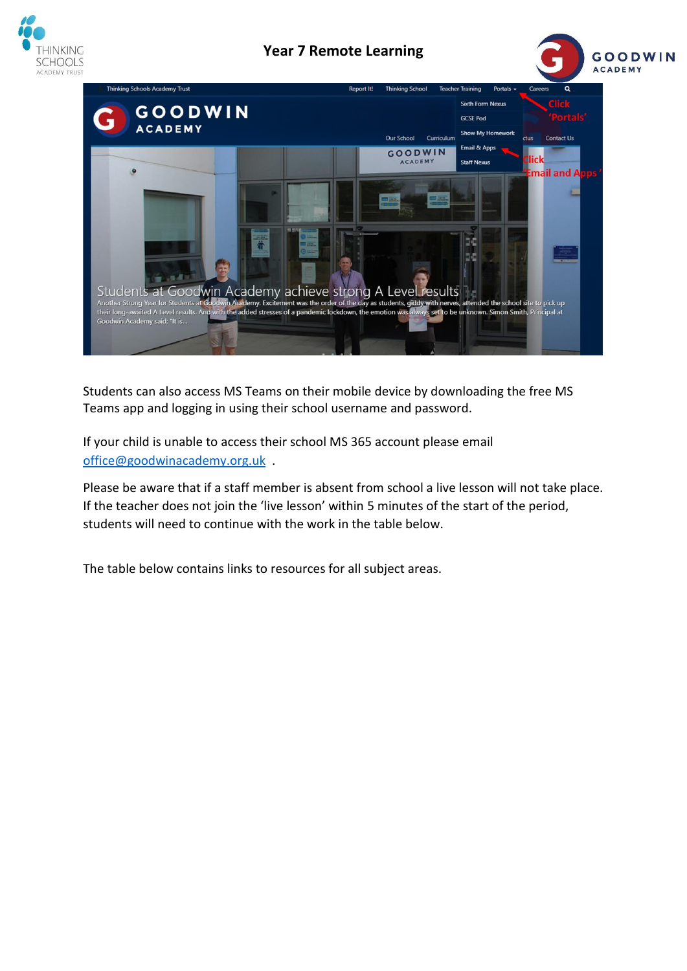

## **Year 7 Remote Learning**





Students can also access MS Teams on their mobile device by downloading the free MS Teams app and logging in using their school username and password.

If your child is unable to access their school MS 365 account please email [office@goodwinacademy.org.uk](mailto:office@goodwinacademy.org.uk) .

Please be aware that if a staff member is absent from school a live lesson will not take place. If the teacher does not join the 'live lesson' within 5 minutes of the start of the period, students will need to continue with the work in the table below.

The table below contains links to resources for all subject areas.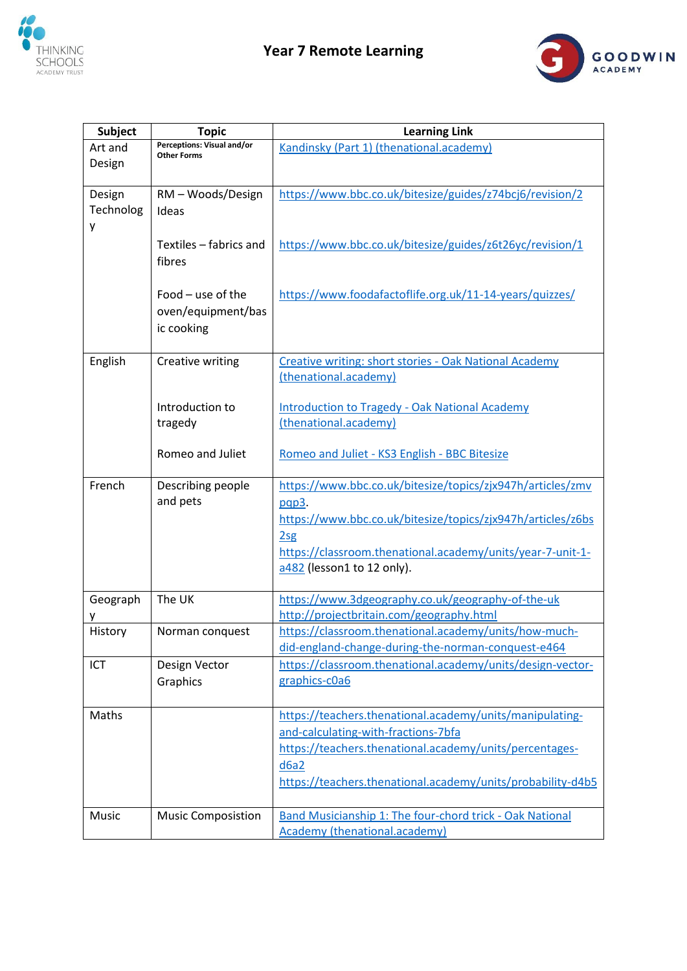



| <b>Subject</b> | <b>Topic</b>                                     | <b>Learning Link</b>                                                                            |
|----------------|--------------------------------------------------|-------------------------------------------------------------------------------------------------|
| Art and        | Perceptions: Visual and/or<br><b>Other Forms</b> | Kandinsky (Part 1) (thenational.academy)                                                        |
| Design         |                                                  |                                                                                                 |
| Design         | RM - Woods/Design                                | https://www.bbc.co.uk/bitesize/guides/z74bcj6/revision/2                                        |
| Technolog      | Ideas                                            |                                                                                                 |
| у              |                                                  |                                                                                                 |
|                | Textiles - fabrics and                           | https://www.bbc.co.uk/bitesize/guides/z6t26yc/revision/1                                        |
|                | fibres                                           |                                                                                                 |
|                |                                                  |                                                                                                 |
|                | Food - use of the                                | https://www.foodafactoflife.org.uk/11-14-years/quizzes/                                         |
|                | oven/equipment/bas                               |                                                                                                 |
|                | ic cooking                                       |                                                                                                 |
| English        | Creative writing                                 | Creative writing: short stories - Oak National Academy                                          |
|                |                                                  | (thenational.academy)                                                                           |
|                |                                                  |                                                                                                 |
|                | Introduction to                                  | <b>Introduction to Tragedy - Oak National Academy</b><br>(thenational.academy)                  |
|                | tragedy                                          |                                                                                                 |
|                | Romeo and Juliet                                 | Romeo and Juliet - KS3 English - BBC Bitesize                                                   |
|                |                                                  |                                                                                                 |
| French         | Describing people                                | https://www.bbc.co.uk/bitesize/topics/zjx947h/articles/zmv                                      |
|                | and pets                                         | pqp3.<br>https://www.bbc.co.uk/bitesize/topics/zjx947h/articles/z6bs                            |
|                |                                                  | 2sg                                                                                             |
|                |                                                  | https://classroom.thenational.academy/units/year-7-unit-1-                                      |
|                |                                                  | a482 (lesson1 to 12 only).                                                                      |
|                |                                                  |                                                                                                 |
| Geograph       | The UK                                           | https://www.3dgeography.co.uk/geography-of-the-uk<br>http://projectbritain.com/geography.html   |
| History        | Norman conquest                                  | https://classroom.thenational.academy/units/how-much-                                           |
|                |                                                  | did-england-change-during-the-norman-conquest-e464                                              |
| ICT            | Design Vector                                    | https://classroom.thenational.academy/units/design-vector-                                      |
|                | Graphics                                         | graphics-c0a6                                                                                   |
|                |                                                  |                                                                                                 |
| Maths          |                                                  | https://teachers.thenational.academy/units/manipulating-<br>and-calculating-with-fractions-7bfa |
|                |                                                  | https://teachers.thenational.academy/units/percentages-                                         |
|                |                                                  | d6a2                                                                                            |
|                |                                                  | https://teachers.thenational.academy/units/probability-d4b5                                     |
|                |                                                  |                                                                                                 |
| Music          | <b>Music Composistion</b>                        | Band Musicianship 1: The four-chord trick - Oak National                                        |
|                |                                                  | <b>Academy (thenational.academy)</b>                                                            |